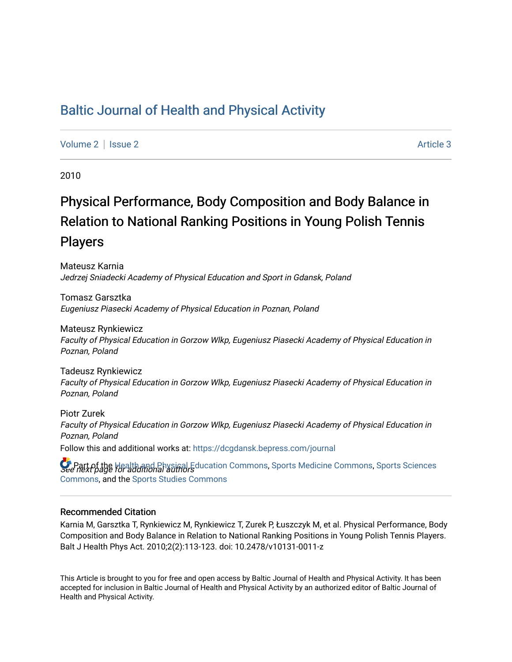# [Baltic Journal of Health and Physical Activity](https://dcgdansk.bepress.com/journal)

[Volume 2](https://dcgdansk.bepress.com/journal/vol2) | [Issue 2](https://dcgdansk.bepress.com/journal/vol2/iss2) Article 3

2010

# Physical Performance, Body Composition and Body Balance in Relation to National Ranking Positions in Young Polish Tennis Players

Mateusz Karnia Jedrzej Sniadecki Academy of Physical Education and Sport in Gdansk, Poland

Tomasz Garsztka Eugeniusz Piasecki Academy of Physical Education in Poznan, Poland

Mateusz Rynkiewicz Faculty of Physical Education in Gorzow Wlkp, Eugeniusz Piasecki Academy of Physical Education in Poznan, Poland

Tadeusz Rynkiewicz Faculty of Physical Education in Gorzow Wlkp, Eugeniusz Piasecki Academy of Physical Education in Poznan, Poland

Piotr Zurek Faculty of Physical Education in Gorzow Wlkp, Eugeniusz Piasecki Academy of Physical Education in Poznan, Poland Follow this and additional works at: [https://dcgdansk.bepress.com/journal](https://dcgdansk.bepress.com/journal?utm_source=dcgdansk.bepress.com%2Fjournal%2Fvol2%2Fiss2%2F3&utm_medium=PDF&utm_campaign=PDFCoverPages)

**P** Part of the [Health and Physical Education Commons](http://network.bepress.com/hgg/discipline/1327?utm_source=dcgdansk.bepress.com%2Fjournal%2Fvol2%2Fiss2%2F3&utm_medium=PDF&utm_campaign=PDFCoverPages), [Sports Medicine Commons,](http://network.bepress.com/hgg/discipline/1331?utm_source=dcgdansk.bepress.com%2Fjournal%2Fvol2%2Fiss2%2F3&utm_medium=PDF&utm_campaign=PDFCoverPages) [Sports Sciences](http://network.bepress.com/hgg/discipline/759?utm_source=dcgdansk.bepress.com%2Fjournal%2Fvol2%2Fiss2%2F3&utm_medium=PDF&utm_campaign=PDFCoverPages)<br>See next page for additional authors [Commons](http://network.bepress.com/hgg/discipline/759?utm_source=dcgdansk.bepress.com%2Fjournal%2Fvol2%2Fiss2%2F3&utm_medium=PDF&utm_campaign=PDFCoverPages), and the [Sports Studies Commons](http://network.bepress.com/hgg/discipline/1198?utm_source=dcgdansk.bepress.com%2Fjournal%2Fvol2%2Fiss2%2F3&utm_medium=PDF&utm_campaign=PDFCoverPages) 

#### Recommended Citation

Karnia M, Garsztka T, Rynkiewicz M, Rynkiewicz T, Zurek P, Łuszczyk M, et al. Physical Performance, Body Composition and Body Balance in Relation to National Ranking Positions in Young Polish Tennis Players. Balt J Health Phys Act. 2010;2(2):113-123. doi: 10.2478/v10131-0011-z

This Article is brought to you for free and open access by Baltic Journal of Health and Physical Activity. It has been accepted for inclusion in Baltic Journal of Health and Physical Activity by an authorized editor of Baltic Journal of Health and Physical Activity.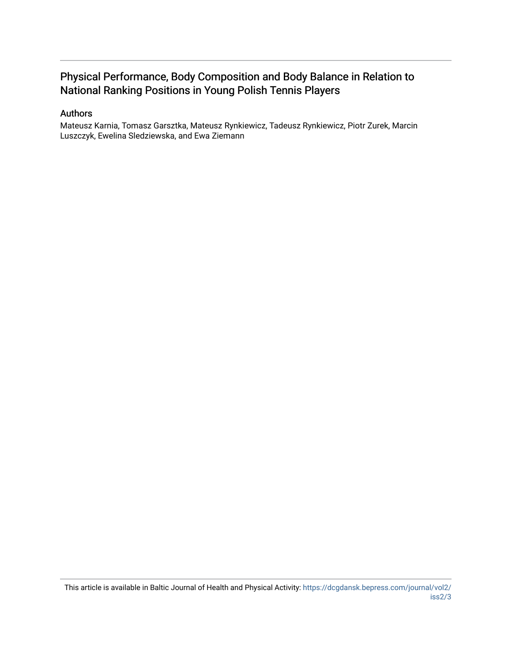# Physical Performance, Body Composition and Body Balance in Relation to National Ranking Positions in Young Polish Tennis Players

#### Authors

Mateusz Karnia, Tomasz Garsztka, Mateusz Rynkiewicz, Tadeusz Rynkiewicz, Piotr Zurek, Marcin Luszczyk, Ewelina Sledziewska, and Ewa Ziemann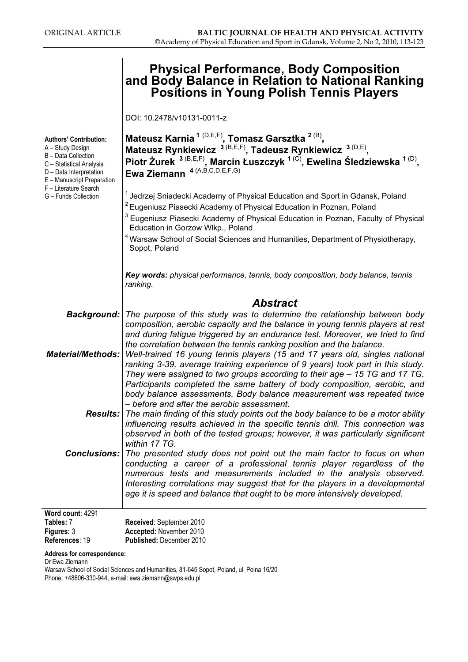# Physical Performance, Body Composition and Body Balance in Relation to National Ranking Positions in Young Polish Tennis Players

DOI: 10.2478/v10131-0011-z

| <b>Authors' Contribution:</b><br>A - Study Design<br>B - Data Collection<br>C - Statistical Analysis<br>D - Data Interpretation<br>E - Manuscript Preparation<br>F - Literature Search<br>G - Funds Collection | Mateusz Karnia <sup>1 (D,E,F)</sup> , Tomasz Garsztka <sup>2 (B)</sup> ,<br>Mateusz Rynkiewicz 3(B,E,F), Tadeusz Rynkiewicz 3(D,E),<br>Piotr Żurek <sup>3 (B,E,F)</sup> , Marcin Łuszczyk <sup>1 (C)</sup> , Ewelina Śledziewska <sup>1 (D)</sup> ,<br>Ewa Ziemann <sup>4 (A,B,C,D,E,F,G)</sup><br><sup>1</sup> Jedrzej Sniadecki Academy of Physical Education and Sport in Gdansk, Poland<br><sup>2</sup> Eugeniusz Piasecki Academy of Physical Education in Poznan, Poland<br>Eugeniusz Piasecki Academy of Physical Education in Poznan, Faculty of Physical<br>Education in Gorzow Wlkp., Poland<br><sup>4</sup> Warsaw School of Social Sciences and Humanities, Department of Physiotherapy,<br>Sopot, Poland<br>Key words: physical performance, tennis, body composition, body balance, tennis<br>ranking. |
|----------------------------------------------------------------------------------------------------------------------------------------------------------------------------------------------------------------|----------------------------------------------------------------------------------------------------------------------------------------------------------------------------------------------------------------------------------------------------------------------------------------------------------------------------------------------------------------------------------------------------------------------------------------------------------------------------------------------------------------------------------------------------------------------------------------------------------------------------------------------------------------------------------------------------------------------------------------------------------------------------------------------------------------------|
|                                                                                                                                                                                                                |                                                                                                                                                                                                                                                                                                                                                                                                                                                                                                                                                                                                                                                                                                                                                                                                                      |
| <b>Material/Methods:</b>                                                                                                                                                                                       | <b>Abstract</b><br><b>Background:</b> The purpose of this study was to determine the relationship between body<br>composition, aerobic capacity and the balance in young tennis players at rest<br>and during fatigue triggered by an endurance test. Moreover, we tried to find<br>the correlation between the tennis ranking position and the balance.<br>Well-trained 16 young tennis players (15 and 17 years old, singles national<br>ranking 3-39, average training experience of 9 years) took part in this study.<br>They were assigned to two groups according to their age – 15 TG and 17 TG.<br>Participants completed the same battery of body composition, aerobic, and                                                                                                                                 |
|                                                                                                                                                                                                                | body balance assessments. Body balance measurement was repeated twice<br>- before and after the aerobic assessment.<br><b>Results:</b> The main finding of this study points out the body balance to be a motor ability<br>influencing results achieved in the specific tennis drill. This connection was<br>observed in both of the tested groups; however, it was particularly significant<br>within 17 TG.                                                                                                                                                                                                                                                                                                                                                                                                        |
| Conclusions:                                                                                                                                                                                                   | The presented study does not point out the main factor to focus on when<br>conducting a career of a professional tennis player regardless of the<br>numerous tests and measurements included in the analysis observed.<br>Interesting correlations may suggest that for the players in a developmental<br>age it is speed and balance that ought to be more intensively developed.                                                                                                                                                                                                                                                                                                                                                                                                                                   |
| Word count: 4291<br>Tables: 7<br>Figures: 3<br>References: 19                                                                                                                                                  | Received: September 2010<br>Accepted: November 2010<br>Published: December 2010                                                                                                                                                                                                                                                                                                                                                                                                                                                                                                                                                                                                                                                                                                                                      |

Address for correspondence:

Dr Ewa Ziemann

Warsaw School of Social Sciences and Humanities, 81-645 Sopot, Poland, ul. Polna 16/20 Phone: +48606-330-944, e-mail: ewa.ziemann@swps.edu.pl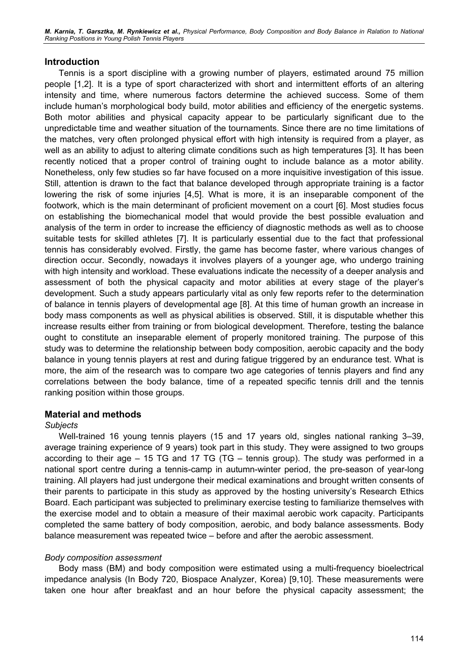M. Karnia, T. Garsztka, M. Rynkiewicz et al., Physical Performance, Body Composition and Body Balance in Ralation to National Ranking Positions in Young Polish Tennis Players

#### Introduction

Tennis is a sport discipline with a growing number of players, estimated around 75 million people [1,2]. It is a type of sport characterized with short and intermittent efforts of an altering intensity and time, where numerous factors determine the achieved success. Some of them include human's morphological body build, motor abilities and efficiency of the energetic systems. Both motor abilities and physical capacity appear to be particularly significant due to the unpredictable time and weather situation of the tournaments. Since there are no time limitations of the matches, very often prolonged physical effort with high intensity is required from a player, as well as an ability to adjust to altering climate conditions such as high temperatures [3]. It has been recently noticed that a proper control of training ought to include balance as a motor ability. Nonetheless, only few studies so far have focused on a more inquisitive investigation of this issue. Still, attention is drawn to the fact that balance developed through appropriate training is a factor lowering the risk of some injuries [4,5]. What is more, it is an inseparable component of the footwork, which is the main determinant of proficient movement on a court [6]. Most studies focus on establishing the biomechanical model that would provide the best possible evaluation and analysis of the term in order to increase the efficiency of diagnostic methods as well as to choose suitable tests for skilled athletes [7]. It is particularly essential due to the fact that professional tennis has considerably evolved. Firstly, the game has become faster, where various changes of direction occur. Secondly, nowadays it involves players of a younger age, who undergo training with high intensity and workload. These evaluations indicate the necessity of a deeper analysis and assessment of both the physical capacity and motor abilities at every stage of the player's development. Such a study appears particularly vital as only few reports refer to the determination of balance in tennis players of developmental age [8]. At this time of human growth an increase in body mass components as well as physical abilities is observed. Still, it is disputable whether this increase results either from training or from biological development. Therefore, testing the balance ought to constitute an inseparable element of properly monitored training. The purpose of this study was to determine the relationship between body composition, aerobic capacity and the body balance in young tennis players at rest and during fatigue triggered by an endurance test. What is more, the aim of the research was to compare two age categories of tennis players and find any correlations between the body balance, time of a repeated specific tennis drill and the tennis ranking position within those groups.

#### Material and methods

#### **Subjects**

Well-trained 16 young tennis players (15 and 17 years old, singles national ranking 3–39, average training experience of 9 years) took part in this study. They were assigned to two groups according to their age – 15 TG and 17 TG (TG – tennis group). The study was performed in a national sport centre during a tennis-camp in autumn-winter period, the pre-season of year-long training. All players had just undergone their medical examinations and brought written consents of their parents to participate in this study as approved by the hosting university's Research Ethics Board. Each participant was subjected to preliminary exercise testing to familiarize themselves with the exercise model and to obtain a measure of their maximal aerobic work capacity. Participants completed the same battery of body composition, aerobic, and body balance assessments. Body balance measurement was repeated twice – before and after the aerobic assessment.

#### Body composition assessment

Body mass (BM) and body composition were estimated using a multi-frequency bioelectrical impedance analysis (In Body 720, Biospace Analyzer, Korea) [9,10]. These measurements were taken one hour after breakfast and an hour before the physical capacity assessment; the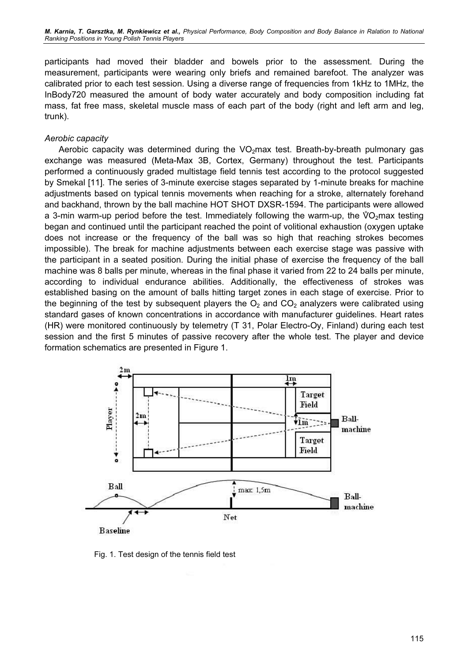participants had moved their bladder and bowels prior to the assessment. During the measurement, participants were wearing only briefs and remained barefoot. The analyzer was calibrated prior to each test session. Using a diverse range of frequencies from 1kHz to 1MHz, the InBody720 measured the amount of body water accurately and body composition including fat mass, fat free mass, skeletal muscle mass of each part of the body (right and left arm and leg, trunk).

#### Aerobic capacity

Aerobic capacity was determined during the  $VO<sub>2</sub>$ max test. Breath-by-breath pulmonary gas exchange was measured (Meta-Max 3B, Cortex, Germany) throughout the test. Participants performed a continuously graded multistage field tennis test according to the protocol suggested by Smekal [11]. The series of 3-minute exercise stages separated by 1-minute breaks for machine adjustments based on typical tennis movements when reaching for a stroke, alternately forehand<br>and backhand, thrown by the ball machine HOT SHOT DXSR-1594. The participants were allowed<br>a 3-min warm-up period before the te and backhand, thrown by the ball machine HOT SHOT DXSR-1594. The participants were allowed a 3-min warm-up period before the test. Immediately following the warm-up, the  $\sqrt[6]{O_{2}}$ max testing began and continued until the participant reached the point of volitional exhaustion (oxygen uptake does not increase or the frequency of the ball was so high that reaching strokes becomes impossible). The break for machine adjustments between each exercise stage was passive with the participant in a seated position. During the initial phase of exercise the frequency of the ball machine was 8 balls per minute, whereas in the final phase it varied from 22 to 24 balls per minute, according to individual endurance abilities. Additionally, the effectiveness of strokes was established basing on the amount of balls hitting target zones in each stage of exercise. Prior to the beginning of the test by subsequent players the  $O_2$  and  $CO_2$  analyzers were calibrated using standard gases of known concentrations in accordance with manufacturer guidelines. Heart rates (HR) were monitored continuously by telemetry (T 31, Polar Electro-Oy, Finland) during each test session and the first 5 minutes of passive recovery after the whole test. The player and device formation schematics are presented in Figure 1.



Fig. 1. Test design of the tennis field test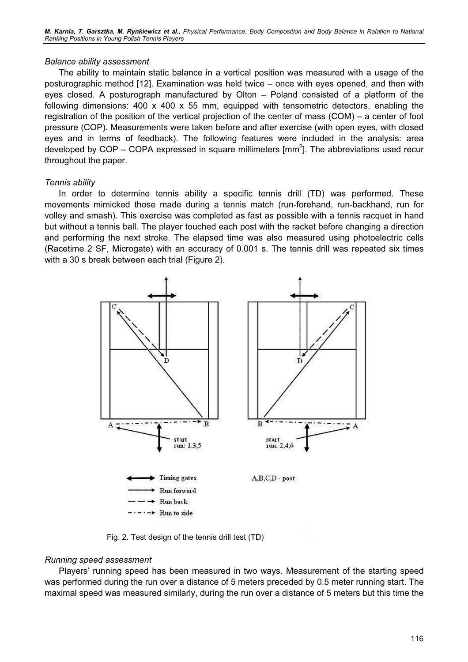#### Balance ability assessment

The ability to maintain static balance in a vertical position was measured with a usage of the posturographic method [12]. Examination was held twice – once with eyes opened, and then with eyes closed. A posturograph manufactured by Olton – Poland consisted of a platform of the following dimensions:  $400 \times 400 \times 55$  mm, equipped with tensometric detectors, enabling the registration of the position of the vertical projection of the center of mass (COM) – a center of foot pressure (COP). Measurements were taken before and after exercise (with open eyes, with closed eyes and in terms of feedback). The following features were included in the analysis: area developed by COP – COPA expressed in square millimeters  $\text{[mm}^2\text{]}$ . The abbreviations used recur throughout the paper.

#### Tennis ability

In order to determine tennis ability a specific tennis drill (TD) was performed. These movements mimicked those made during a tennis match (run-forehand, run-backhand, run for volley and smash). This exercise was completed as fast as possible with a tennis racquet in hand but without a tennis ball. The player touched each post with the racket before changing a direction and performing the next stroke. The elapsed time was also measured using photoelectric cells (Racetime 2 SF, Microgate) with an accuracy of 0.001 s. The tennis drill was repeated six times with a 30 s break between each trial (Figure 2).



Fig. 2. Test design of the tennis drill test (TD)

## Running speed assessment

Players' running speed has been measured in two ways. Measurement of the starting speed was performed during the run over a distance of 5 meters preceded by 0.5 meter running start. The maximal speed was measured similarly, during the run over a distance of 5 meters but this time the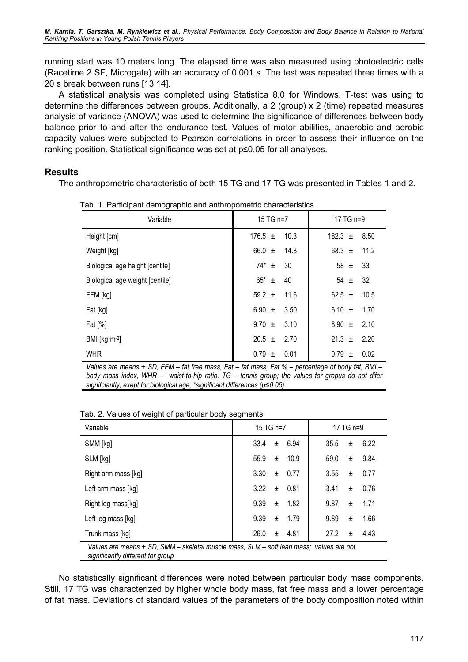running start was 10 meters long. The elapsed time was also measured using photoelectric cells (Racetime 2 SF, Microgate) with an accuracy of 0.001 s. The test was repeated three times with a 20 s break between runs [13,14].

A statistical analysis was completed using Statistica 8.0 for Windows. T-test was using to determine the differences between groups. Additionally, a 2 (group) x 2 (time) repeated measures analysis of variance (ANOVA) was used to determine the significance of differences between body balance prior to and after the endurance test. Values of motor abilities, anaerobic and aerobic capacity values were subjected to Pearson correlations in order to assess their influence on the ranking position. Statistical significance was set at p≤0.05 for all analyses.

## Results

The anthropometric characteristic of both 15 TG and 17 TG was presented in Tables 1 and 2.

| Variable                        | 15 TG n=7           | 17 TG n=9           |  |  |
|---------------------------------|---------------------|---------------------|--|--|
| Height [cm]                     | $176.5 \pm$<br>10.3 | 182.3 $\pm$<br>8.50 |  |  |
| Weight [kg]                     | 66.0 $\pm$<br>14.8  | 11.2<br>68.3 $\pm$  |  |  |
| Biological age height [centile] | $74^*$ ±<br>30      | 58 $\pm$<br>33      |  |  |
| Biological age weight [centile] | $65^*$ ±<br>40      | $54 \pm$<br>32      |  |  |
| FFM [kg]                        | 59.2 $\pm$<br>11.6  | 62.5 $\pm$<br>10.5  |  |  |
| Fat [kg]                        | 6.90 $\pm$<br>3.50  | 6.10 $\pm$<br>1.70  |  |  |
| Fat $[\%]$                      | $9.70 \pm$<br>3.10  | $8.90 \pm$<br>2.10  |  |  |
| BMI [ $kg \cdot m^{-2}$ ]       | $20.5 \pm$<br>2.70  | 21.3 $\pm$<br>2.20  |  |  |
| <b>WHR</b>                      | $0.79 \pm$<br>0.01  | $0.79 \pm$<br>0.02  |  |  |

Tab. 1. Participant demographic and anthropometric characteristics

Values are means  $\pm$  SD, FFM – fat free mass, Fat – fat mass, Fat % – percentage of body fat, BMI – body mass index, WHR – waist-to-hip ratio. TG – tennis group; the values for gropus do not difer signifciantly, exept for biological age, \*significant differences (p≤0.05)

Tab. 2. Values of weight of particular body segments

| Variable                                                                                                                     | 15 TG n=7                 | 17 TG n=9          |  |  |  |  |
|------------------------------------------------------------------------------------------------------------------------------|---------------------------|--------------------|--|--|--|--|
| SMM [kg]                                                                                                                     | 33.4<br>6.94<br>$\pm$     | 6.22<br>35.5<br>±. |  |  |  |  |
| SLM [kg]                                                                                                                     | 55.9<br>10.9<br>±.        | 59.0<br>9.84<br>±. |  |  |  |  |
| Right arm mass [kg]                                                                                                          | 3.30<br>0.77<br>±.        | 3.55<br>0.77<br>±. |  |  |  |  |
| Left arm mass [kg]                                                                                                           | 3.22<br>0.81<br>$\ddot{}$ | 3.41<br>0.76<br>±. |  |  |  |  |
| Right leg mass[kg]                                                                                                           | 9.39<br>1.82<br>$\pm$     | 9.87<br>1.71<br>±. |  |  |  |  |
| Left leg mass [kg]                                                                                                           | 9.39<br>1.79<br>$\pm$     | 9.89<br>1.66<br>±. |  |  |  |  |
| Trunk mass [kg]                                                                                                              | 26.0<br>4.81<br>±.        | 27.2<br>4.43<br>±. |  |  |  |  |
| Values are means ± SD, SMM – skeletal muscle mass, SLM – soft lean mass; values are not<br>oianificantly different for aroun |                           |                    |  |  |  |  |

significantly different for group

No statistically significant differences were noted between particular body mass components. Still, 17 TG was characterized by higher whole body mass, fat free mass and a lower percentage of fat mass. Deviations of standard values of the parameters of the body composition noted within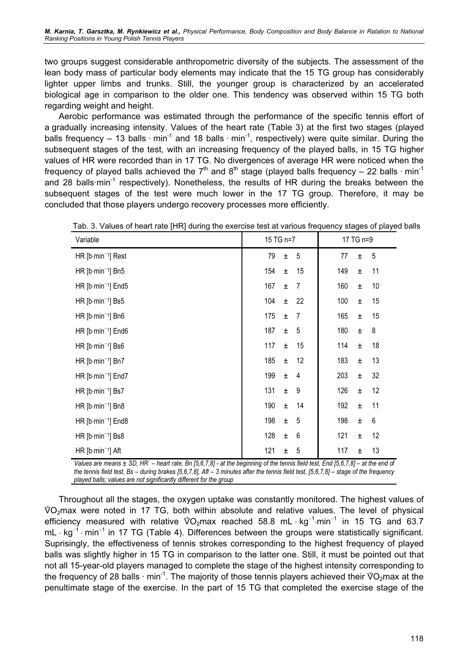two groups suggest considerable anthropometric diversity of the subjects. The assessment of the lean body mass of particular body elements may indicate that the 15 TG group has considerably lighter upper limbs and trunks. Still, the younger group is characterized by an accelerated biological age in comparison to the older one. This tendency was observed within 15 TG both regarding weight and height.

Aerobic performance was estimated through the performance of the specific tennis effort of a gradually increasing intensity. Values of the heart rate (Table 3) at the first two stages (played balls frequency – 13 balls  $\cdot$  min<sup>-1</sup> and 18 balls  $\cdot$  min<sup>-1</sup>, respectively) were quite similar. During the subsequent stages of the test, with an increasing frequency of the played balls, in 15 TG higher values of HR were recorded than in 17 TG. No divergences of average HR were noticed when the frequency of played balls achieved the  $7<sup>th</sup>$  and  $8<sup>th</sup>$  stage (played balls frequency – 22 balls  $\cdot$  min<sup>-1</sup> and 28 balls $\cdot$ min<sup>-1</sup> respectively). Nonetheless, the results of HR during the breaks between the subsequent stages of the test were much lower in the 17 TG group. Therefore, it may be concluded that those players undergo recovery processes more efficiently.

| Tab. 3. Values of heart rate [HR] during the exercise test at various frequency stages of played |              |                |     |       |                 |
|--------------------------------------------------------------------------------------------------|--------------|----------------|-----|-------|-----------------|
| Variable                                                                                         | 15 TG n=7    | 17 TG n=9      |     |       |                 |
| HR [b-min <sup>-1</sup> ] Rest                                                                   | 79<br>Ŧ      | 5              | 77  | $\pm$ | 5               |
| $HR [b\cdot min^{-1}]$ Bn5                                                                       | 154<br>Ŧ     | 15             | 149 | $\pm$ | 11              |
| HR $[b\cdot min^{-1}]$ End5                                                                      | 167<br>$\pm$ | 7              | 160 | Ŧ     | 10 <sup>1</sup> |
| HR $[b\cdot min^{-1}]$ Bs5                                                                       | 104<br>±     | 22             | 100 | Ŧ     | 15              |
| $HR [b\cdot min^{-1}]$ Bn $6$                                                                    | 175<br>±.    | $\overline{7}$ | 165 | Ŧ     | 15              |
| HR $[b\cdot min^{-1}]$ End6                                                                      | 187<br>$\pm$ | 5              | 180 | $\pm$ | 8               |
| HR $[b\cdot min^{-1}]$ Bs6                                                                       | 117<br>Ŧ     | 15             | 114 | Ŧ     | 18              |
| HR [b-min <sup>-1</sup> ] Bn7                                                                    | 185<br>±.    | 12             | 183 | $\pm$ | 13              |
| $HR [b\cdot min^{-1}]$ End7                                                                      | 199<br>$\pm$ | 4              | 203 | $\pm$ | 32              |
| HR $[b\cdot min^{-1}]$ Bs7                                                                       | 131<br>±.    | 9              | 126 | Ŧ     | 12              |
| HR $[b\cdot min^{-1}]$ Bn8                                                                       | 190<br>Ŧ     | 14             | 192 | $\pm$ | 11              |
| $HR [b\cdot min^{-1}]$ End8                                                                      | 198<br>Ŧ     | 5              | 198 | Ŧ     | 6               |
| HR $[b\cdot min^{-1}]$ Bs8                                                                       | 128<br>Ŧ     | 6              | 121 | $\pm$ | 12              |
| $HR [b\cdot min^{-1}]$ Aft                                                                       | 121<br>Ŧ     | 5              | 117 | Ŧ     | 13              |

| Tab. 3. Values of heart rate [HR] during the exercise test at various frequency stages of played balls |  |
|--------------------------------------------------------------------------------------------------------|--|
|--------------------------------------------------------------------------------------------------------|--|

Values are means ± SD, HR – heart rate, Bn [5,6,7,8] - at the beginning of the tennis field test, End [5,6,7,8] – at the end of the tennis field test, Bs – during brakes [5,6,7,8], Aft – 3 minutes after the tennis field test, [5,6,7,8] – stage of the frequency played balls; values are not significantly different for the group

Throughout all the stages, the oxygen uptake was constantly monitored. The highest values of the stages of V- $\sqrt[6]{O_2}$ max were noted in 17 TG, both within absolute and relative values. The level of physical Throughout all the stages, the oxygen uptake was constantly monitored. The highest values of  $\sqrt[6]{O_2}$ max were noted in 17 TG, both within absolute and relative values. The level of physical efficiency measured with rel  $\sqrt[3]{O_2}$ max were<br>efficiency meas<br>mL ⋅ kg<sup>-1</sup> ⋅ min<sup>-1</sup>  $mL \cdot kg^{-1} \cdot min^{-1}$  in 17 TG (Table 4). Differences between the groups were statistically significant. Suprisingly, the effectiveness of tennis strokes corresponding to the highest frequency of played balls was slightly higher in 15 TG in comparison to the latter one. Still, it must be pointed out that not all 15-year-old players managed to complete the stage of the highest intensity corresponding to balls was slightly higher in 15 TG in comparison to the latter one. Still, it must be pointed out that not all 15-year-old players managed to complete the stage of the highest intensity corresponding to the frequency of 2 penultimate stage of the exercise. In the part of 15 TG that completed the exercise stage of the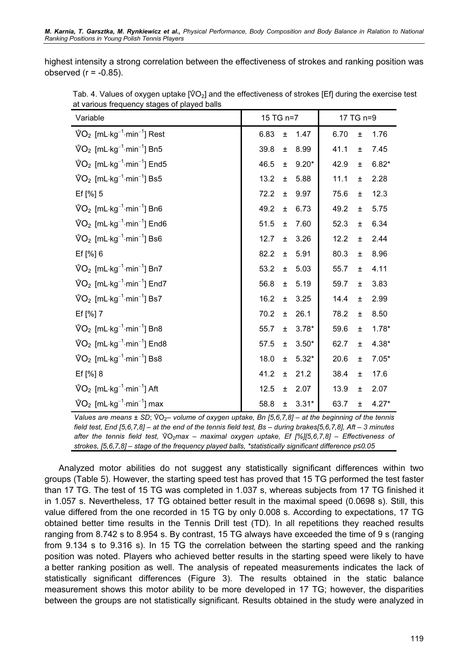highest intensity a strong correlation between the effectiveness of strokes and ranking position was observed  $(r = -0.85)$ . ed (r = -0.85).<br>Tab. 4. Values of oxygen uptake [ป๊O<sub>2</sub>] and the effectiveness of strokes [Ef] during the exercise test

| at various frequency stages of played balls                                  |                          |                          |  |  |  |  |  |
|------------------------------------------------------------------------------|--------------------------|--------------------------|--|--|--|--|--|
| Variable                                                                     | 15 TG n=7                | 17 TG n=9                |  |  |  |  |  |
| $\sqrt[6]{O_2}$ [mL·kg <sup>-1</sup> ·min <sup>-1</sup> ] Rest               | 6.83<br>1.47<br>Ŧ        | 6.70<br>1.76<br>$\pm$    |  |  |  |  |  |
| $\sqrt[6]{O_2}$ [mL·kg <sup>-1</sup> ·min <sup>-1</sup> ] Bn5                | 8.99<br>39.8<br>$\pm$    | 41.1<br>7.45<br>$\pm$    |  |  |  |  |  |
| $\sqrt[6]{O_2}$ [mL·kg <sup>-1</sup> ·min <sup>-1</sup> ] End5               | 46.5<br>$9.20*$<br>$\pm$ | 42.9<br>$6.82*$<br>$\pm$ |  |  |  |  |  |
| $\sqrt[6]{O_2}$ [mL $\cdot$ kg <sup>-1</sup> $\cdot$ min <sup>-1</sup> ] Bs5 | 13.2<br>5.88<br>$\pm$    | 2.28<br>11.1<br>$\pm$    |  |  |  |  |  |
| Ef [%] 5                                                                     | 72.2<br>9.97<br>$\pm$    | 12.3<br>75.6<br>$\pm$    |  |  |  |  |  |
| $\sqrt[6]{O_2}$ [mL $\cdot$ kg <sup>-1</sup> $\cdot$ min <sup>-1</sup> ] Bn6 | 49.2<br>6.73<br>士        | 49.2<br>5.75<br>$\pm$    |  |  |  |  |  |
| $\sqrt[6]{O_2}$ [mL·kg <sup>-1</sup> ·min <sup>-1</sup> ] End6               | 51.5<br>7.60<br>$\pm$    | 6.34<br>52.3<br>$\pm$    |  |  |  |  |  |
| $\sqrt[6]{O_2}$ [mL $\cdot$ kg <sup>-1</sup> $\cdot$ min <sup>-1</sup> ] Bs6 | 12.7<br>3.26<br>$\pm$    | 12.2<br>2.44<br>$\pm$    |  |  |  |  |  |
| Ef [%] 6                                                                     | 82.2<br>5.91<br>$\pm$    | 80.3<br>8.96<br>$\pm$    |  |  |  |  |  |
| $\sqrt[6]{O_2}$ [mL·kg <sup>-1</sup> ·min <sup>-1</sup> ] Bn7                | 53.2<br>5.03<br>$\pm$    | 4.11<br>55.7<br>$\pm$    |  |  |  |  |  |
| $\sqrt[6]{O_2}$ [mL·kg <sup>-1</sup> ·min <sup>-1</sup> ] End7               | 56.8<br>5.19<br>$\pm$    | 59.7<br>3.83<br>$\pm$    |  |  |  |  |  |
| $\sqrt[6]{O_2}$ [mL $\cdot$ kg <sup>-1</sup> $\cdot$ min <sup>-1</sup> ] Bs7 | 16.2<br>3.25<br>$\pm$    | 14.4<br>2.99<br>$\pm$    |  |  |  |  |  |
| Ef [%] 7                                                                     | 70.2<br>26.1<br>±.       | 78.2<br>8.50<br>$\pm$    |  |  |  |  |  |
| $\sqrt[6]{O_2}$ [mL $\cdot$ kg <sup>-1</sup> $\cdot$ min <sup>-1</sup> ] Bn8 | $3.78*$<br>55.7<br>Ŧ     | 59.6<br>$1.78*$<br>$\pm$ |  |  |  |  |  |
| $\sqrt[6]{O_2}$ [mL·kg <sup>-1</sup> ·min <sup>-1</sup> ] End8               | 57.5<br>$3.50*$<br>$\pm$ | 62.7<br>$4.38*$<br>$\pm$ |  |  |  |  |  |
| $\sqrt[6]{O_2}$ [mL·kg <sup>-1</sup> ·min <sup>-1</sup> ] Bs8                | $5.32*$<br>18.0<br>$\pm$ | 20.6<br>$7.05*$<br>$\pm$ |  |  |  |  |  |
| Ef [%] 8                                                                     | 41.2<br>21.2<br>$\pm$    | 38.4<br>17.6<br>$\pm$    |  |  |  |  |  |
| $\sqrt[6]{O_2}$ [mL·kg <sup>-1</sup> ·min <sup>-1</sup> ] Aft                | 12.5<br>2.07<br>$\pm$    | 13.9<br>2.07<br>$\pm$    |  |  |  |  |  |
| $\sqrt[6]{O_2}$ [mL·kg <sup>-1</sup> ·min <sup>-1</sup> ] max                | $3.31*$<br>58.8<br>$\pm$ | 63.7<br>$4.27*$<br>$\pm$ |  |  |  |  |  |

 $\sqrt[6]{O_2}$  [mL·kg<sup>-1</sup>·min<sup>-1</sup>] max<br>Values are means  $\pm$  SD;  $\sqrt[6]{O_2}$ - volume of oxygen uptake, Bn [5,6,7,8] – at the beginning of the tennis<br>field test, End [5,6,7,8] – at the end of the tennis field test, Bs – durin field test, End [5,6,7,8] – at the end of the tennis field test, Bs – during brakes[5,6,7,8], Aft – 3 minutes after the tennis field test,  $\sqrt[6]{Q_2}$ max – maximal oxygen uptake, Ef [%][5,6,7,8] – Effectiveness of strokes, [5,6,7,8] – stage of the frequency played balls, \*statistically significant difference p≤0.05

Analyzed motor abilities do not suggest any statistically significant differences within two groups (Table 5). However, the starting speed test has proved that 15 TG performed the test faster than 17 TG. The test of 15 TG was completed in 1.037 s, whereas subjects from 17 TG finished it in 1.057 s. Nevertheless, 17 TG obtained better result in the maximal speed (0.0698 s). Still, this value differed from the one recorded in 15 TG by only 0.008 s. According to expectations, 17 TG obtained better time results in the Tennis Drill test (TD). In all repetitions they reached results ranging from 8.742 s to 8.954 s. By contrast, 15 TG always have exceeded the time of 9 s (ranging from 9.134 s to 9.316 s). In 15 TG the correlation between the starting speed and the ranking position was noted. Players who achieved better results in the starting speed were likely to have a better ranking position as well. The analysis of repeated measurements indicates the lack of statistically significant differences (Figure 3). The results obtained in the static balance measurement shows this motor ability to be more developed in 17 TG; however, the disparities between the groups are not statistically significant. Results obtained in the study were analyzed in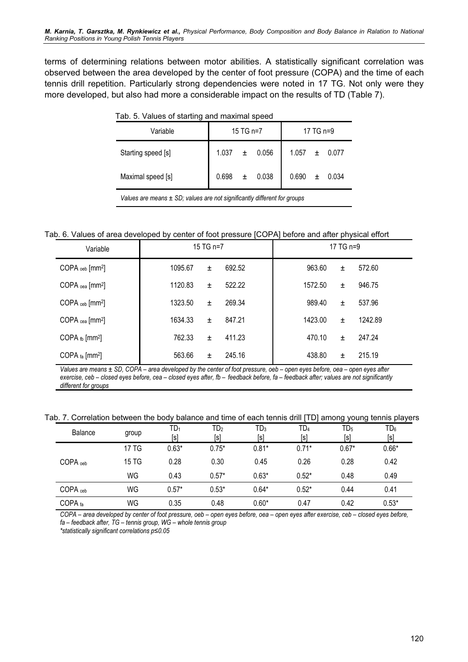terms of determining relations between motor abilities. A statistically significant correlation was observed between the area developed by the center of foot pressure (COPA) and the time of each tennis drill repetition. Particularly strong dependencies were noted in 17 TG. Not only were they more developed, but also had more a considerable impact on the results of TD (Table 7).

| Variable           | 15 TG n=7 |       |       | 17 TG n=9 |       |       |
|--------------------|-----------|-------|-------|-----------|-------|-------|
| Starting speed [s] | 1.037     | $\pm$ | 0.056 | 1.057     | $\pm$ | 0.077 |
| Maximal speed [s]  | 0.698     | 士     | 0.038 | 0.690     | ±.    | 0.034 |

Values are means  $\pm$  SD; values are not significantly different for groups

Tab. 6. Values of area developed by center of foot pressure [COPA] before and after physical effort

| Variable                               | 15 TG n=7     | 17 TG n=9 |         |       |         |
|----------------------------------------|---------------|-----------|---------|-------|---------|
| COPA <sub>oeb</sub> [mm <sup>2</sup> ] | 1095.67<br>±. | 692.52    | 963.60  | Ŧ.    | 572.60  |
| COPA $_{oea}$ [mm <sup>2</sup> ]       | 1120.83<br>±. | 522.22    | 1572.50 | Ŧ.    | 946.75  |
| $COPA$ <sub>ceb</sub> $[mm^2]$         | 1323.50<br>±. | 269.34    | 989.40  | $\pm$ | 537.96  |
| $COPA_{cea}$ [mm <sup>2</sup> ]        | 1634.33<br>±. | 847.21    | 1423.00 | $\pm$ | 1242.89 |
| COPA $_{\text{fb}}$ [mm <sup>2</sup> ] | 762.33<br>士   | 411.23    | 470.10  | Ŧ.    | 247.24  |
| COPA $fa$ [mm <sup>2</sup> ]           | 563.66<br>±.  | 245.16    | 438.80  | Ŧ.    | 215.19  |

Values are means ± SD, COPA – area developed by the center of foot pressure, oeb – open eyes before, oea – open eyes after exercise, ceb – closed eyes before, cea – closed eyes after, fb – feedback before, fa – feedback after; values are not significantly different for groups

#### Tab. 7. Correlation between the body balance and time of each tennis drill [TD] among young tennis players

| <b>Balance</b>      | group | $\mathsf{TD}_1$<br>[s] | TD <sub>2</sub><br>[s] | TD <sub>3</sub><br>[s] | TD <sub>4</sub><br>[s] | $TD_5$<br>[s] | $TD_6$<br>[s] |
|---------------------|-------|------------------------|------------------------|------------------------|------------------------|---------------|---------------|
|                     | 17 TG | $0.63*$                | $0.75*$                | $0.81*$                | $0.71*$                | $0.67*$       | $0.66*$       |
| COPA <sub>oeb</sub> | 15 TG | 0.28                   | 0.30                   | 0.45                   | 0.26                   | 0.28          | 0.42          |
|                     | WG    | 0.43                   | $0.57*$                | $0.63*$                | $0.52*$                | 0.48          | 0.49          |
| $COPA_{\text{ceb}}$ | WG    | $0.57*$                | $0.53*$                | $0.64*$                | $0.52*$                | 0.44          | 0.41          |
| COPA fa             | WG    | 0.35                   | 0.48                   | $0.60*$                | 0.47                   | 0.42          | $0.53*$       |

COPA – area developed by center of foot pressure, oeb – open eyes before, oea – open eyes after exercise, ceb – closed eyes before, fa – feedback after, TG – tennis group, WG – whole tennis group

\*statistically significant correlations p≤0.05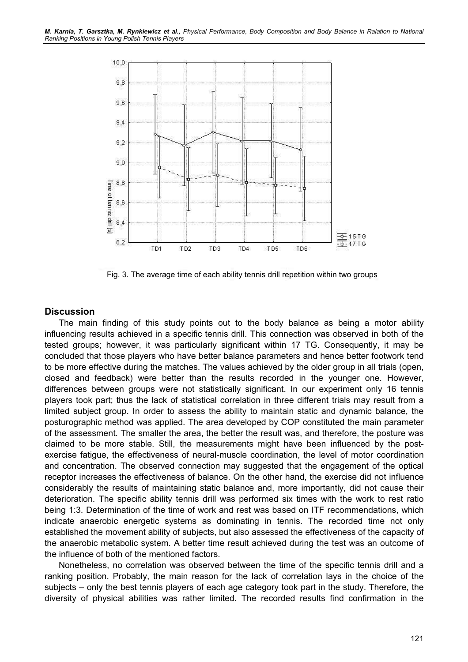

Fig. 3. The average time of each ability tennis drill repetition within two groups

## **Discussion**

The main finding of this study points out to the body balance as being a motor ability influencing results achieved in a specific tennis drill. This connection was observed in both of the tested groups; however, it was particularly significant within 17 TG. Consequently, it may be concluded that those players who have better balance parameters and hence better footwork tend to be more effective during the matches. The values achieved by the older group in all trials (open, closed and feedback) were better than the results recorded in the younger one. However, differences between groups were not statistically significant. In our experiment only 16 tennis players took part; thus the lack of statistical correlation in three different trials may result from a limited subject group. In order to assess the ability to maintain static and dynamic balance, the posturographic method was applied. The area developed by COP constituted the main parameter of the assessment. The smaller the area, the better the result was, and therefore, the posture was claimed to be more stable. Still, the measurements might have been influenced by the postexercise fatigue, the effectiveness of neural-muscle coordination, the level of motor coordination and concentration. The observed connection may suggested that the engagement of the optical receptor increases the effectiveness of balance. On the other hand, the exercise did not influence considerably the results of maintaining static balance and, more importantly, did not cause their deterioration. The specific ability tennis drill was performed six times with the work to rest ratio being 1:3. Determination of the time of work and rest was based on ITF recommendations, which indicate anaerobic energetic systems as dominating in tennis. The recorded time not only established the movement ability of subjects, but also assessed the effectiveness of the capacity of the anaerobic metabolic system. A better time result achieved during the test was an outcome of the influence of both of the mentioned factors.

Nonetheless, no correlation was observed between the time of the specific tennis drill and a ranking position. Probably, the main reason for the lack of correlation lays in the choice of the subjects – only the best tennis players of each age category took part in the study. Therefore, the diversity of physical abilities was rather limited. The recorded results find confirmation in the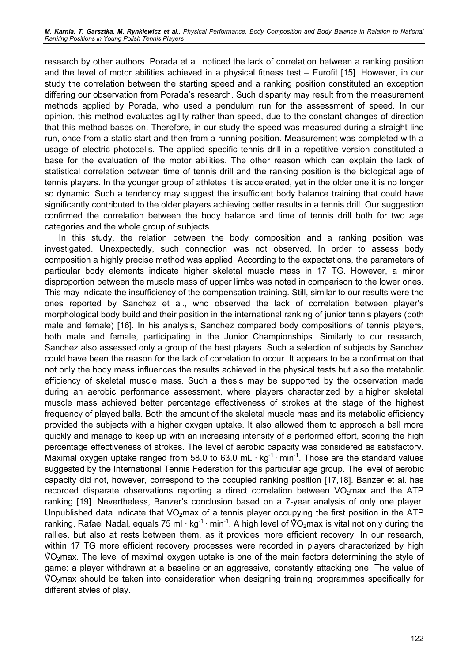research by other authors. Porada et al. noticed the lack of correlation between a ranking position and the level of motor abilities achieved in a physical fitness test – Eurofit [15]. However, in our study the correlation between the starting speed and a ranking position constituted an exception differing our observation from Porada's research. Such disparity may result from the measurement methods applied by Porada, who used a pendulum run for the assessment of speed. In our opinion, this method evaluates agility rather than speed, due to the constant changes of direction that this method bases on. Therefore, in our study the speed was measured during a straight line run, once from a static start and then from a running position. Measurement was completed with a usage of electric photocells. The applied specific tennis drill in a repetitive version constituted a base for the evaluation of the motor abilities. The other reason which can explain the lack of statistical correlation between time of tennis drill and the ranking position is the biological age of tennis players. In the younger group of athletes it is accelerated, yet in the older one it is no longer so dynamic. Such a tendency may suggest the insufficient body balance training that could have significantly contributed to the older players achieving better results in a tennis drill. Our suggestion confirmed the correlation between the body balance and time of tennis drill both for two age categories and the whole group of subjects.

In this study, the relation between the body composition and a ranking position was investigated. Unexpectedly, such connection was not observed. In order to assess body composition a highly precise method was applied. According to the expectations, the parameters of particular body elements indicate higher skeletal muscle mass in 17 TG. However, a minor disproportion between the muscle mass of upper limbs was noted in comparison to the lower ones. This may indicate the insufficiency of the compensation training. Still, similar to our results were the ones reported by Sanchez et al., who observed the lack of correlation between player's morphological body build and their position in the international ranking of junior tennis players (both male and female) [16]. In his analysis, Sanchez compared body compositions of tennis players, both male and female, participating in the Junior Championships. Similarly to our research, Sanchez also assessed only a group of the best players. Such a selection of subjects by Sanchez could have been the reason for the lack of correlation to occur. It appears to be a confirmation that not only the body mass influences the results achieved in the physical tests but also the metabolic efficiency of skeletal muscle mass. Such a thesis may be supported by the observation made during an aerobic performance assessment, where players characterized by a higher skeletal muscle mass achieved better percentage effectiveness of strokes at the stage of the highest frequency of played balls. Both the amount of the skeletal muscle mass and its metabolic efficiency provided the subjects with a higher oxygen uptake. It also allowed them to approach a ball more quickly and manage to keep up with an increasing intensity of a performed effort, scoring the high percentage effectiveness of strokes. The level of aerobic capacity was considered as satisfactory. Maximal oxygen uptake ranged from 58.0 to 63.0 mL $\cdot$  kg<sup>-1</sup> $\cdot$  min<sup>-1</sup>. Those are the standard values suggested by the International Tennis Federation for this particular age group. The level of aerobic capacity did not, however, correspond to the occupied ranking position [17,18]. Banzer et al. has recorded disparate observations reporting a direct correlation between  $VO<sub>2</sub>$ max and the ATP ranking [19]. Nevertheless, Banzer's conclusion based on a 7-year analysis of only one player. Unpublished data indicate that  $VO<sub>2</sub>$  max of a tennis player occupying the first position in the ATP ranking [19]. Nevertheless, Banzer's conclusion based on a 7-year analysis of only one player.<br>Unpublished data indicate that VO<sub>2</sub>max of a tennis player occupying the first position in the ATP ranking, Rafael Nadal, equa rallies, but also at rests between them, as it provides more efficient recovery. In our research, within 17 TG more efficient recovery processes were recorded in players characterized by high -<br>Sw<br>V  $\sqrt[6]{O_2}$ max. The level of maximal oxygen uptake is one of the main factors determining the style of game: a player withdrawn at a baseline or an aggressive, constantly attacking one. The value of vٌ<br>g:<br>Vٌ  $\sqrt[6]{O_2}$ max should be taken into consideration when designing training programmes specifically for different styles of play.